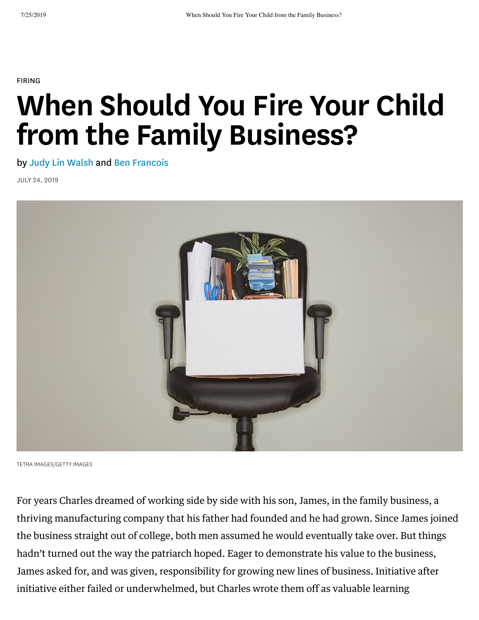[FIRING](https://hbr.org/topic/firing)

# When Should You Fire Your Child from the Family Business?

by Judy Lin Walsh and Ben Francois

JULY 24, 2019



TETRA IMAGES/GETTY IMAGES

For years Charles dreamed of working side by side with his son, James, in the family business, a thriving manufacturing company that his father had founded and he had grown. Since James joined the business straight out of college, both men assumed he would eventually take over. But things hadn't turned out the way the patriarch hoped. Eager to demonstrate his value to the business, James asked for, and was given, responsibility for growing new lines of business. Initiative after initiative either failed or underwhelmed, but Charles wrote them off as valuable learning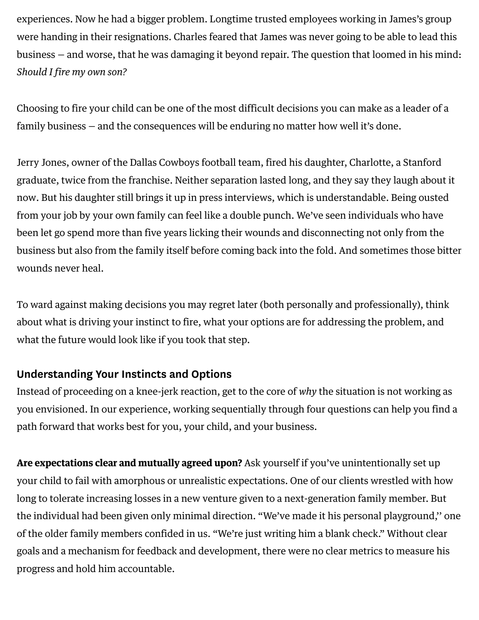experiences. Now he had a bigger problem. Longtime trusted employees working in James's group were handing in their resignations. Charles feared that James was never going to be able to lead this business – and worse, that he was damaging it beyond repair. The question that loomed in his mind: Should I fire my own son?

Choosing to fire your child can be one of the most difficult decisions you can make as a leader of a family business  $-$  and the consequences will be enduring no matter how well it's done.

Jerry Jones, owner of the Dallas Cowboys football team, fired his daughter, Charlotte, a Stanford graduate, twice from the franchise. Neither separation lasted long, and they say they laugh about it now. But his daughter still brings it up in press interviews, which is understandable. Being ousted from your job by your own family can feel like a double punch. We've seen individuals who have been let go spend more than five years licking their wounds and disconnecting not only from the business but also from the family itself before coming back into the fold. And sometimes those bitter wounds never heal.

To ward against making decisions you may regret later (both personally and professionally), think about what is driving your instinct to fire, what your options are for addressing the problem, and what the future would look like if you took that step.

### Understanding Your Instincts and Options

Instead of proceeding on a knee-jerk reaction, get to the core of why the situation is not working as you envisioned. In our experience, working sequentially through four questions can help you find a path forward that works best for you, your child, and your business.

Are expectations clear and mutually agreed upon? Ask yourself if you've unintentionally set up your child to fail with amorphous or unrealistic expectations. One of our clients wrestled with how long to tolerate increasing losses in a new venture given to a next-generation family member. But the individual had been given only minimal direction. "We've made it his personal playground," one of the older family members confided in us. "We're just writing him a blank check." Without clear goals and a mechanism for feedback and development, there were no clear metrics to measure his progress and hold him accountable.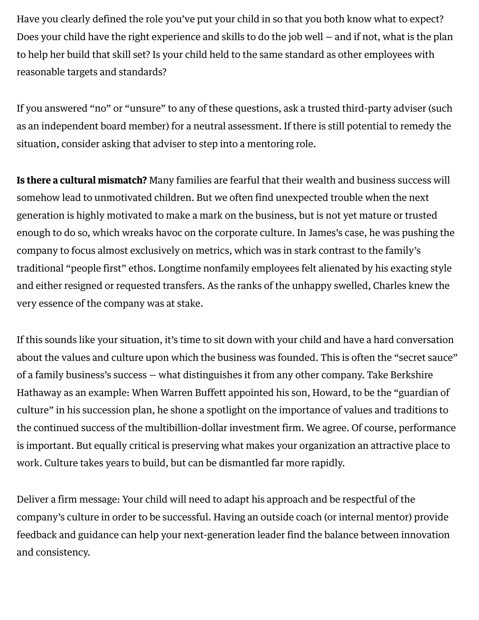Have you clearly defined the role you've put your child in so that you both know what to expect? Does your child have the right experience and skills to do the job well  $-$  and if not, what is the plan to help her build that skill set? Is your child held to the same standard as other employees with reasonable targets and standards?

If you answered "no" or "unsure" to any of these questions, ask a trusted third-party adviser (such as an independent board member) for a neutral assessment. If there is still potential to remedy the situation, consider asking that adviser to step into a mentoring role.

Is there a cultural mismatch? Many families are fearful that their wealth and business success will somehow lead to unmotivated children. But we often find unexpected trouble when the next generation is highly motivated to make a mark on the business, but is not yet mature or trusted enough to do so, which wreaks havoc on the corporate culture. In James's case, he was pushing the company to focus almost exclusively on metrics, which was in stark contrast to the family's traditional "people first" ethos. Longtime nonfamily employees felt alienated by his exacting style and either resigned or requested transfers. As the ranks of the unhappy swelled, Charles knew the very essence of the company was at stake.

If this sounds like your situation, it's time to sit down with your child and have a hard conversation about the values and culture upon which the business was founded. This is often the "secret sauce" of a family business's success  $-$  what distinguishes it from any other company. Take Berkshire Hathaway as an example: When Warren Buffett appointed his son, Howard, to be the "guardian of culture" in his succession plan, he shone a spotlight on the importance of values and traditions to the continued success of the multibillion-dollar investment firm. We agree. Of course, performance is important. But equally critical is preserving what makes your organization an attractive place to work. Culture takes years to build, but can be dismantled far more rapidly.

Deliver a firm message: Your child will need to adapt his approach and be respectful of the company's culture in order to be successful. Having an outside coach (or internal mentor) provide feedback and guidance can help your next-generation leader find the balance between innovation and consistency.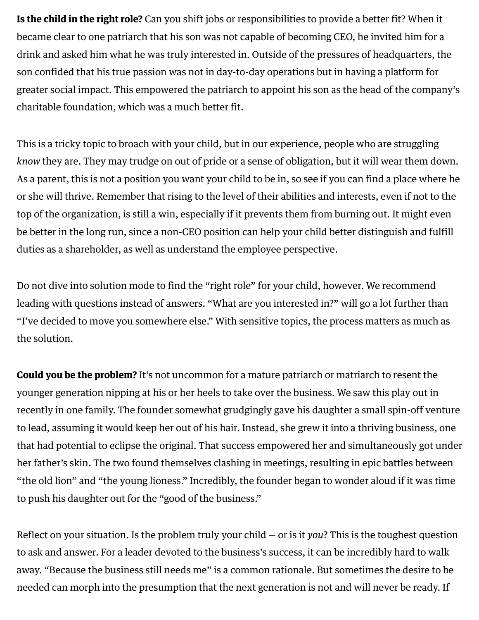**Is the child in the right role?** Can you shift jobs or responsibilities to provide a better fit? When it became clear to one patriarch that his son was not capable of becoming CEO, he invited him for a drink and asked him what he was truly interested in. Outside of the pressures of headquarters, the son confided that his true passion was not in day-to-day operations but in having a platform for greater social impact. This empowered the patriarch to appoint his son as the head of the company's charitable foundation, which was a much better fit.

This is a tricky topic to broach with your child, but in our experience, people who are struggling know they are. They may trudge on out of pride or a sense of obligation, but it will wear them down. As a parent, this is not a position you want your child to be in, so see if you can find a place where he or she will thrive. Remember that rising to the level of their abilities and interests, even if not to the top of the organization, is still a win, especially if it prevents them from burning out. It might even be better in the long run, since a non-CEO position can help your child better distinguish and fulfill duties as a shareholder, as well as understand the employee perspective.

Do not dive into solution mode to find the "right role" for your child, however. We recommend leading with questions instead of answers. "What are you interested in?" will go a lot further than "I've decided to move you somewhere else." With sensitive topics, the process matters as much as the solution.

**Could you be the problem?** It's not uncommon for a mature patriarch or matriarch to resent the younger generation nipping at his or her heels to take over the business. We saw this play out in recently in one family. The founder somewhat grudgingly gave his daughter a small spin-off venture to lead, assuming it would keep her out of his hair. Instead, she grew it into a thriving business, one that had potential to eclipse the original. That success empowered her and simultaneously got under her father's skin. The two found themselves clashing in meetings, resulting in epic battles between "the old lion" and "the young lioness." Incredibly, the founder began to wonder aloud if it was time to push his daughter out for the "good of the business."

Reflect on your situation. Is the problem truly your child  $-$  or is it you? This is the toughest question to ask and answer. For a leader devoted to the business's success, it can be incredibly hard to walk away. "Because the business still needs me" is a common rationale. But sometimes the desire to be needed can morph into the presumption that the next generation is not and will never be ready. If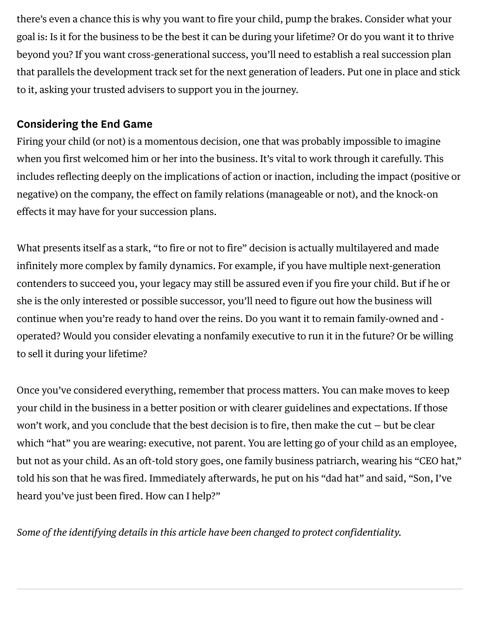there's even a chance this is why you want to fire your child, pump the brakes. Consider what your goal is: Is it for the business to be the best it can be during your lifetime? Or do you want it to thrive beyond you? If you want cross-generational success, you'll need to establish a real succession plan that parallels the development track set for the next generation of leaders. Put one in place and stick to it, asking your trusted advisers to support you in the journey.

### Considering the End Game

Firing your child (or not) is a momentous decision, one that was probably impossible to imagine when you first welcomed him or her into the business. It's vital to work through it carefully. This includes reflecting deeply on the implications of action or inaction, including the impact (positive or negative) on the company, the effect on family relations (manageable or not), and the knock-on effects it may have for your succession plans.

What presents itself as a stark, "to fire or not to fire" decision is actually multilayered and made infinitely more complex by family dynamics. For example, if you have multiple next-generation contenders to succeed you, your legacy may still be assured even if you fire your child. But if he or she is the only interested or possible successor, you'll need to figure out how the business will continue when you're ready to hand over the reins. Do you want it to remain family-owned and operated? Would you consider elevating a nonfamily executive to run it in the future? Or be willing to sell it during your lifetime?

Once you've considered everything, remember that process matters. You can make moves to keep your child in the business in a better position or with clearer guidelines and expectations. If those won't work, and you conclude that the best decision is to fire, then make the cut  $-$  but be clear which "hat" you are wearing: executive, not parent. You are letting go of your child as an employee, but not as your child. As an oft-told story goes, one family business patriarch, wearing his "CEO hat," told his son that he was fired. Immediately afterwards, he put on his "dad hat" and said, "Son, I've heard you've just been fired. How can I help?"

Some of the identifying details in this article have been changed to protect confidentiality.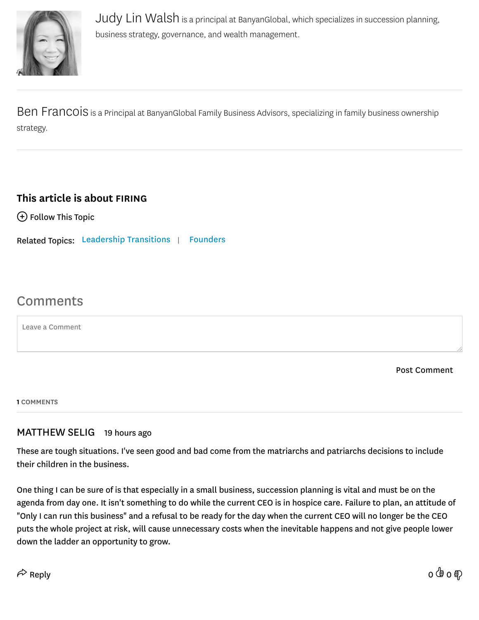

Judy Lin Walsh is a principal at BanyanGlobal, which specializes in succession planning, business strategy, governance, and wealth management.

Ben Francois is a Principal at BanyanGlobal Family Business Advisors, specializing in family business ownership strategy.

#### This article is about [FIRING](https://hbr.org/topic/firing)

 $\bigoplus$  Follow This Topic

Related Topics: Leadership Transitions | [Founders](https://hbr.org/topic/founders)

## Comments

Leave a Comment

Post Comment

1 COMMENTS

#### MATTHEW SELIG 19 hours ago

These are tough situations. I've seen good and bad come from the matriarchs and patriarchs decisions to include their children in the business.

One thing I can be sure of is that especially in a small business, succession planning is vital and must be on the agenda from day one. It isn't something to do while the current CEO is in hospice care. Failure to plan, an attitude of "Only I can run this business" and a refusal to be ready for the day when the current CEO will no longer be the CEO puts the whole project at risk, will cause unnecessary costs when the inevitable happens and not give people lower down the ladder an opportunity to grow.